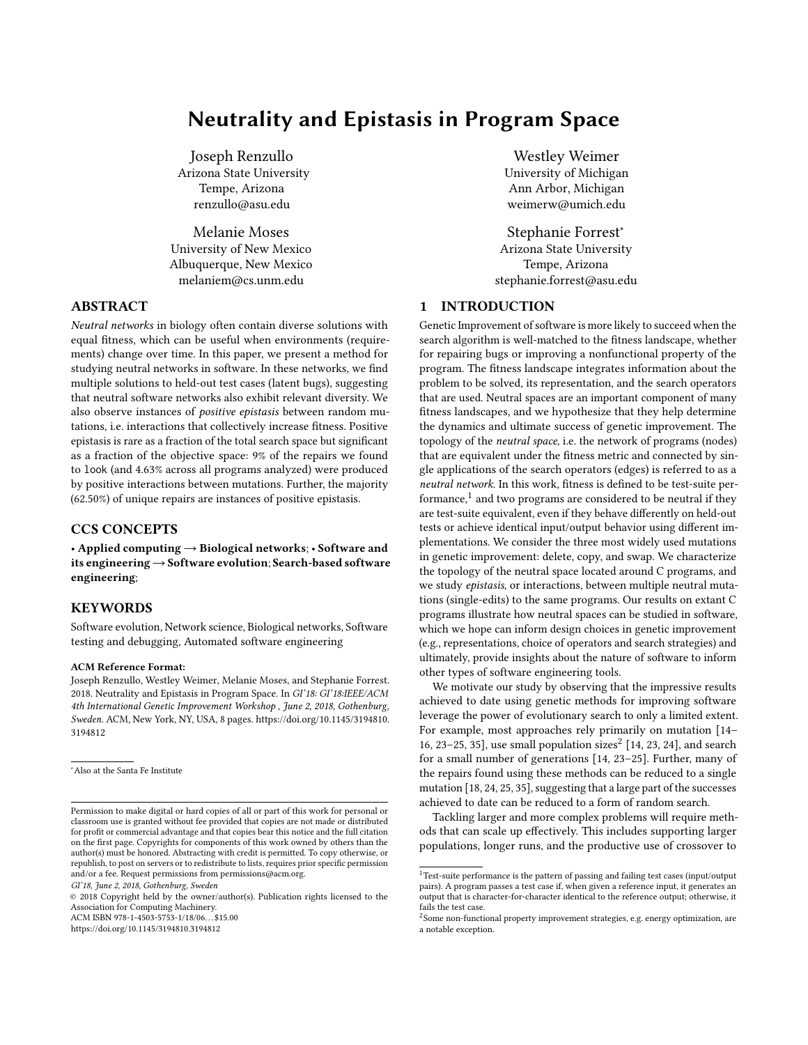# Neutrality and Epistasis in Program Space

Joseph Renzullo Arizona State University Tempe, Arizona renzullo@asu.edu

Melanie Moses University of New Mexico Albuquerque, New Mexico melaniem@cs.unm.edu

# ABSTRACT

Neutral networks in biology often contain diverse solutions with equal fitness, which can be useful when environments (requirements) change over time. In this paper, we present a method for studying neutral networks in software. In these networks, we find multiple solutions to held-out test cases (latent bugs), suggesting that neutral software networks also exhibit relevant diversity. We also observe instances of positive epistasis between random mutations, i.e. interactions that collectively increase fitness. Positive epistasis is rare as a fraction of the total search space but significant as a fraction of the objective space: 9% of the repairs we found to look (and 4.63% across all programs analyzed) were produced by positive interactions between mutations. Further, the majority (62.50%) of unique repairs are instances of positive epistasis.

# CCS CONCEPTS

• Applied computing → Biological networks; • Software and its engineering→Software evolution; Search-based software engineering;

## **KEYWORDS**

Software evolution, Network science, Biological networks, Software testing and debugging, Automated software engineering

#### ACM Reference Format:

Joseph Renzullo, Westley Weimer, Melanie Moses, and Stephanie Forrest. 2018. Neutrality and Epistasis in Program Space. In GI'18: GI'18:IEEE/ACM 4th International Genetic Improvement Workshop , June 2, 2018, Gothenburg, Sweden. ACM, New York, NY, USA, [8](#page-7-0) pages. [https://doi.org/10.1145/3194810.](https://doi.org/10.1145/3194810.3194812) [3194812](https://doi.org/10.1145/3194810.3194812)

<sup>∗</sup>Also at the Santa Fe Institute

GI'18, June 2, 2018, Gothenburg, Sweden

© 2018 Copyright held by the owner/author(s). Publication rights licensed to the Association for Computing Machinery.

ACM ISBN 978-1-4503-5753-1/18/06. . . \$15.00 <https://doi.org/10.1145/3194810.3194812>

Westley Weimer University of Michigan Ann Arbor, Michigan weimerw@umich.edu

Stephanie Forrest<sup>∗</sup> Arizona State University Tempe, Arizona stephanie.forrest@asu.edu

# 1 INTRODUCTION

Genetic Improvement of software is more likely to succeed when the search algorithm is well-matched to the fitness landscape, whether for repairing bugs or improving a nonfunctional property of the program. The fitness landscape integrates information about the problem to be solved, its representation, and the search operators that are used. Neutral spaces are an important component of many fitness landscapes, and we hypothesize that they help determine the dynamics and ultimate success of genetic improvement. The topology of the neutral space, i.e. the network of programs (nodes) that are equivalent under the fitness metric and connected by single applications of the search operators (edges) is referred to as a neutral network. In this work, fitness is defined to be test-suite performance, $^1$  $^1$  and two programs are considered to be neutral if they are test-suite equivalent, even if they behave differently on held-out tests or achieve identical input/output behavior using different implementations. We consider the three most widely used mutations in genetic improvement: delete, copy, and swap. We characterize the topology of the neutral space located around C programs, and we study epistasis, or interactions, between multiple neutral mutations (single-edits) to the same programs. Our results on extant C programs illustrate how neutral spaces can be studied in software, which we hope can inform design choices in genetic improvement (e.g., representations, choice of operators and search strategies) and ultimately, provide insights about the nature of software to inform other types of software engineering tools.

We motivate our study by observing that the impressive results achieved to date using genetic methods for improving software leverage the power of evolutionary search to only a limited extent. For example, most approaches rely primarily on mutation [\[14–](#page-7-1) [16,](#page-7-2) 23-[25,](#page-7-4) [35\]](#page-7-5), use small population sizes<sup>[2](#page-0-1)</sup> [\[14,](#page-7-1) [23,](#page-7-3) [24\]](#page-7-6), and search for a small number of generations [\[14,](#page-7-1) [23–](#page-7-3)[25\]](#page-7-4). Further, many of the repairs found using these methods can be reduced to a single mutation [\[18,](#page-7-7) [24,](#page-7-6) [25,](#page-7-4) [35\]](#page-7-5), suggesting that a large part of the successes achieved to date can be reduced to a form of random search.

Tackling larger and more complex problems will require methods that can scale up effectively. This includes supporting larger populations, longer runs, and the productive use of crossover to

Permission to make digital or hard copies of all or part of this work for personal or classroom use is granted without fee provided that copies are not made or distributed for profit or commercial advantage and that copies bear this notice and the full citation on the first page. Copyrights for components of this work owned by others than the author(s) must be honored. Abstracting with credit is permitted. To copy otherwise, or republish, to post on servers or to redistribute to lists, requires prior specific permission and/or a fee. Request permissions from permissions@acm.org.

<span id="page-0-0"></span> $^{\rm 1}$  Test-suite performance is the pattern of passing and failing test cases (input/output pairs). A program passes a test case if, when given a reference input, it generates an output that is character-for-character identical to the reference output; otherwise, it fails the test case.

<span id="page-0-1"></span><sup>&</sup>lt;sup>2</sup>Some non-functional property improvement strategies, e.g. energy optimization, are a notable exception.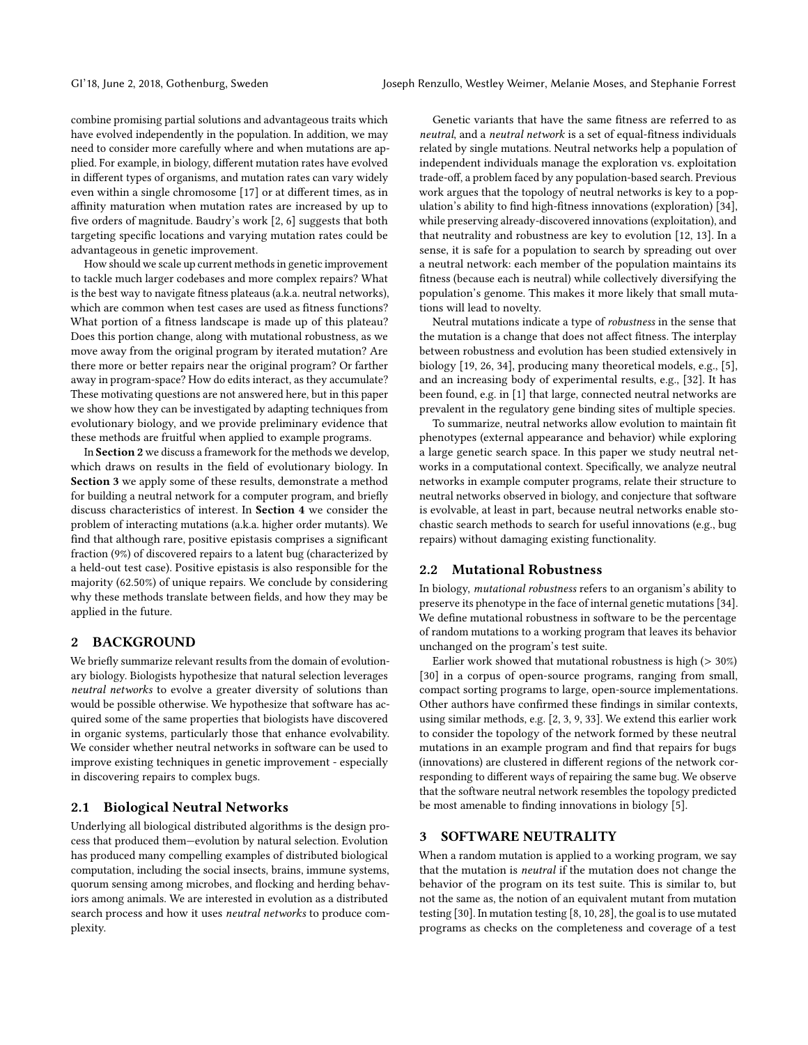combine promising partial solutions and advantageous traits which have evolved independently in the population. In addition, we may need to consider more carefully where and when mutations are applied. For example, in biology, different mutation rates have evolved in different types of organisms, and mutation rates can vary widely even within a single chromosome [\[17\]](#page-7-8) or at different times, as in affinity maturation when mutation rates are increased by up to five orders of magnitude. Baudry's work [\[2,](#page-7-9) [6\]](#page-7-10) suggests that both targeting specific locations and varying mutation rates could be advantageous in genetic improvement.

How should we scale up current methods in genetic improvement to tackle much larger codebases and more complex repairs? What is the best way to navigate fitness plateaus (a.k.a. neutral networks), which are common when test cases are used as fitness functions? What portion of a fitness landscape is made up of this plateau? Does this portion change, along with mutational robustness, as we move away from the original program by iterated mutation? Are there more or better repairs near the original program? Or farther away in program-space? How do edits interact, as they accumulate? These motivating questions are not answered here, but in this paper we show how they can be investigated by adapting techniques from evolutionary biology, and we provide preliminary evidence that these methods are fruitful when applied to example programs.

In Section [2](#page-1-0) we discuss a framework for the methods we develop, which draws on results in the field of evolutionary biology. In Section [3](#page-1-1) we apply some of these results, demonstrate a method for building a neutral network for a computer program, and briefly discuss characteristics of interest. In Section [4](#page-3-0) we consider the problem of interacting mutations (a.k.a. higher order mutants). We find that although rare, positive epistasis comprises a significant fraction (9%) of discovered repairs to a latent bug (characterized by a held-out test case). Positive epistasis is also responsible for the majority (62.50%) of unique repairs. We conclude by considering why these methods translate between fields, and how they may be applied in the future.

## <span id="page-1-0"></span>2 BACKGROUND

We briefly summarize relevant results from the domain of evolutionary biology. Biologists hypothesize that natural selection leverages neutral networks to evolve a greater diversity of solutions than would be possible otherwise. We hypothesize that software has acquired some of the same properties that biologists have discovered in organic systems, particularly those that enhance evolvability. We consider whether neutral networks in software can be used to improve existing techniques in genetic improvement - especially in discovering repairs to complex bugs.

## 2.1 Biological Neutral Networks

Underlying all biological distributed algorithms is the design process that produced them—evolution by natural selection. Evolution has produced many compelling examples of distributed biological computation, including the social insects, brains, immune systems, quorum sensing among microbes, and flocking and herding behaviors among animals. We are interested in evolution as a distributed search process and how it uses neutral networks to produce complexity.

Genetic variants that have the same fitness are referred to as neutral, and a neutral network is a set of equal-fitness individuals related by single mutations. Neutral networks help a population of independent individuals manage the exploration vs. exploitation trade-off, a problem faced by any population-based search. Previous work argues that the topology of neutral networks is key to a population's ability to find high-fitness innovations (exploration) [\[34\]](#page-7-11), while preserving already-discovered innovations (exploitation), and that neutrality and robustness are key to evolution [\[12,](#page-7-12) [13\]](#page-7-13). In a sense, it is safe for a population to search by spreading out over a neutral network: each member of the population maintains its fitness (because each is neutral) while collectively diversifying the population's genome. This makes it more likely that small mutations will lead to novelty.

Neutral mutations indicate a type of robustness in the sense that the mutation is a change that does not affect fitness. The interplay between robustness and evolution has been studied extensively in biology [\[19,](#page-7-14) [26,](#page-7-15) [34\]](#page-7-11), producing many theoretical models, e.g., [\[5\]](#page-7-16), and an increasing body of experimental results, e.g., [\[32\]](#page-7-17). It has been found, e.g. in [\[1\]](#page-7-18) that large, connected neutral networks are prevalent in the regulatory gene binding sites of multiple species.

To summarize, neutral networks allow evolution to maintain fit phenotypes (external appearance and behavior) while exploring a large genetic search space. In this paper we study neutral networks in a computational context. Specifically, we analyze neutral networks in example computer programs, relate their structure to neutral networks observed in biology, and conjecture that software is evolvable, at least in part, because neutral networks enable stochastic search methods to search for useful innovations (e.g., bug repairs) without damaging existing functionality.

## 2.2 Mutational Robustness

In biology, mutational robustness refers to an organism's ability to preserve its phenotype in the face of internal genetic mutations [\[34\]](#page-7-11). We define mutational robustness in software to be the percentage of random mutations to a working program that leaves its behavior unchanged on the program's test suite.

Earlier work showed that mutational robustness is high (> 30%) [\[30\]](#page-7-19) in a corpus of open-source programs, ranging from small, compact sorting programs to large, open-source implementations. Other authors have confirmed these findings in similar contexts, using similar methods, e.g. [\[2,](#page-7-9) [3,](#page-7-20) [9,](#page-7-21) [33\]](#page-7-22). We extend this earlier work to consider the topology of the network formed by these neutral mutations in an example program and find that repairs for bugs (innovations) are clustered in different regions of the network corresponding to different ways of repairing the same bug. We observe that the software neutral network resembles the topology predicted be most amenable to finding innovations in biology [\[5\]](#page-7-16).

# <span id="page-1-1"></span>3 SOFTWARE NEUTRALITY

When a random mutation is applied to a working program, we say that the mutation is *neutral* if the mutation does not change the behavior of the program on its test suite. This is similar to, but not the same as, the notion of an equivalent mutant from mutation testing [\[30\]](#page-7-19). In mutation testing [\[8,](#page-7-23) [10,](#page-7-24) [28\]](#page-7-25), the goal is to use mutated programs as checks on the completeness and coverage of a test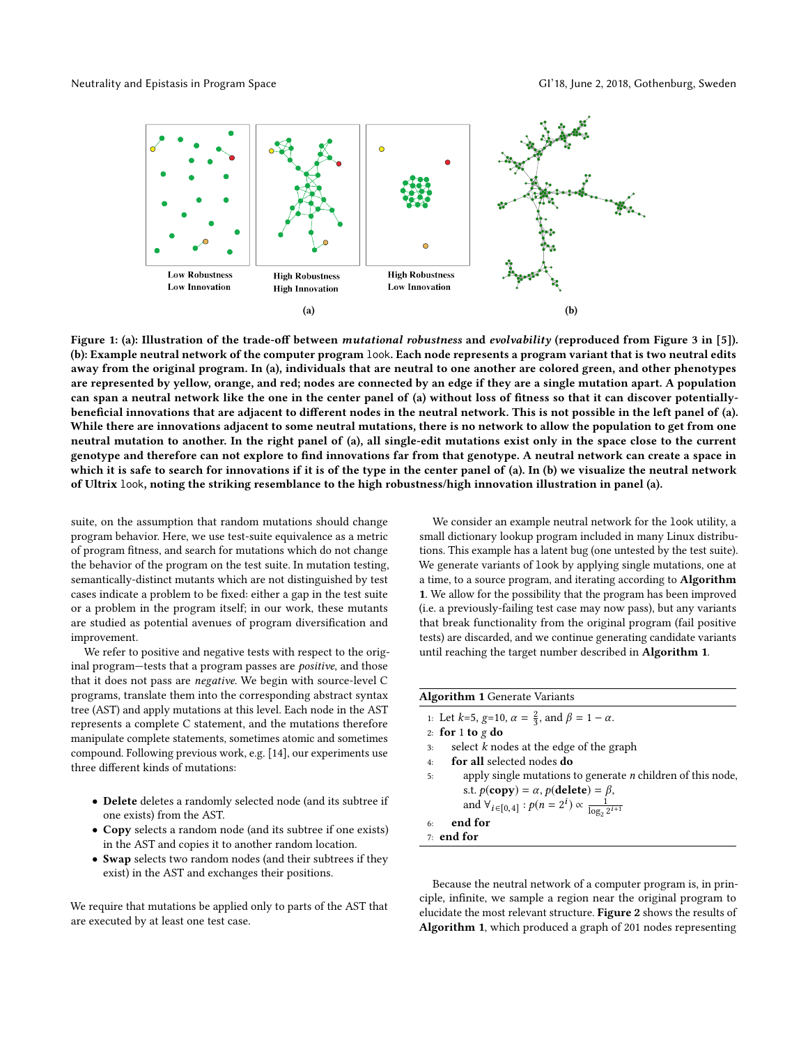

Figure 1: (a): Illustration of the trade-off between mutational robustness and evolvability (reproduced from Figure 3 in [\[5\]](#page-7-16)). (b): Example neutral network of the computer program look. Each node represents a program variant that is two neutral edits away from the original program. In (a), individuals that are neutral to one another are colored green, and other phenotypes are represented by yellow, orange, and red; nodes are connected by an edge if they are a single mutation apart. A population can span a neutral network like the one in the center panel of (a) without loss of fitness so that it can discover potentiallybeneficial innovations that are adjacent to different nodes in the neutral network. This is not possible in the left panel of (a). While there are innovations adjacent to some neutral mutations, there is no network to allow the population to get from one neutral mutation to another. In the right panel of (a), all single-edit mutations exist only in the space close to the current genotype and therefore can not explore to find innovations far from that genotype. A neutral network can create a space in which it is safe to search for innovations if it is of the type in the center panel of (a). In (b) we visualize the neutral network of Ultrix look, noting the striking resemblance to the high robustness/high innovation illustration in panel (a).

suite, on the assumption that random mutations should change program behavior. Here, we use test-suite equivalence as a metric of program fitness, and search for mutations which do not change the behavior of the program on the test suite. In mutation testing, semantically-distinct mutants which are not distinguished by test cases indicate a problem to be fixed: either a gap in the test suite or a problem in the program itself; in our work, these mutants are studied as potential avenues of program diversification and improvement.

We refer to positive and negative tests with respect to the original program—tests that a program passes are positive, and those that it does not pass are negative. We begin with source-level C programs, translate them into the corresponding abstract syntax tree (AST) and apply mutations at this level. Each node in the AST represents a complete C statement, and the mutations therefore manipulate complete statements, sometimes atomic and sometimes compound. Following previous work, e.g. [\[14\]](#page-7-1), our experiments use three different kinds of mutations:

- Delete deletes a randomly selected node (and its subtree if one exists) from the AST.
- Copy selects a random node (and its subtree if one exists) in the AST and copies it to another random location.
- Swap selects two random nodes (and their subtrees if they exist) in the AST and exchanges their positions.

We require that mutations be applied only to parts of the AST that are executed by at least one test case.

We consider an example neutral network for the look utility, a small dictionary lookup program included in many Linux distributions. This example has a latent bug (one untested by the test suite). We generate variants of look by applying single mutations, one at a time, to a source program, and iterating according to Algorithm 1. We allow for the possibility that the program has been improved (i.e. a previously-failing test case may now pass), but any variants that break functionality from the original program (fail positive tests) are discarded, and we continue generating candidate variants until reaching the target number described in Algorithm 1.

| <b>Algorithm 1</b> Generate Variants                                                                                                       |
|--------------------------------------------------------------------------------------------------------------------------------------------|
| 1: Let $k=5$ , $g=10$ , $\alpha = \frac{2}{3}$ , and $\beta = 1 - \alpha$ .                                                                |
| 2: for 1 to $g$ do                                                                                                                         |
| select k nodes at the edge of the graph<br>3:                                                                                              |
| for all selected nodes do<br>4:                                                                                                            |
| apply single mutations to generate <i>n</i> children of this node,<br>5:                                                                   |
|                                                                                                                                            |
| s.t. $p(\text{copy}) = \alpha$ , $p(\text{delete}) = \beta$ ,<br>and $\forall_{i \in [0,4]} : p(n = 2^i) \propto \frac{1}{\log_2 2^{i+1}}$ |
| end for<br>6:                                                                                                                              |
| $7:$ end for                                                                                                                               |
|                                                                                                                                            |

Because the neutral network of a computer program is, in principle, infinite, we sample a region near the original program to elucidate the most relevant structure. Figure [2](#page-3-1) shows the results of Algorithm 1, which produced a graph of 201 nodes representing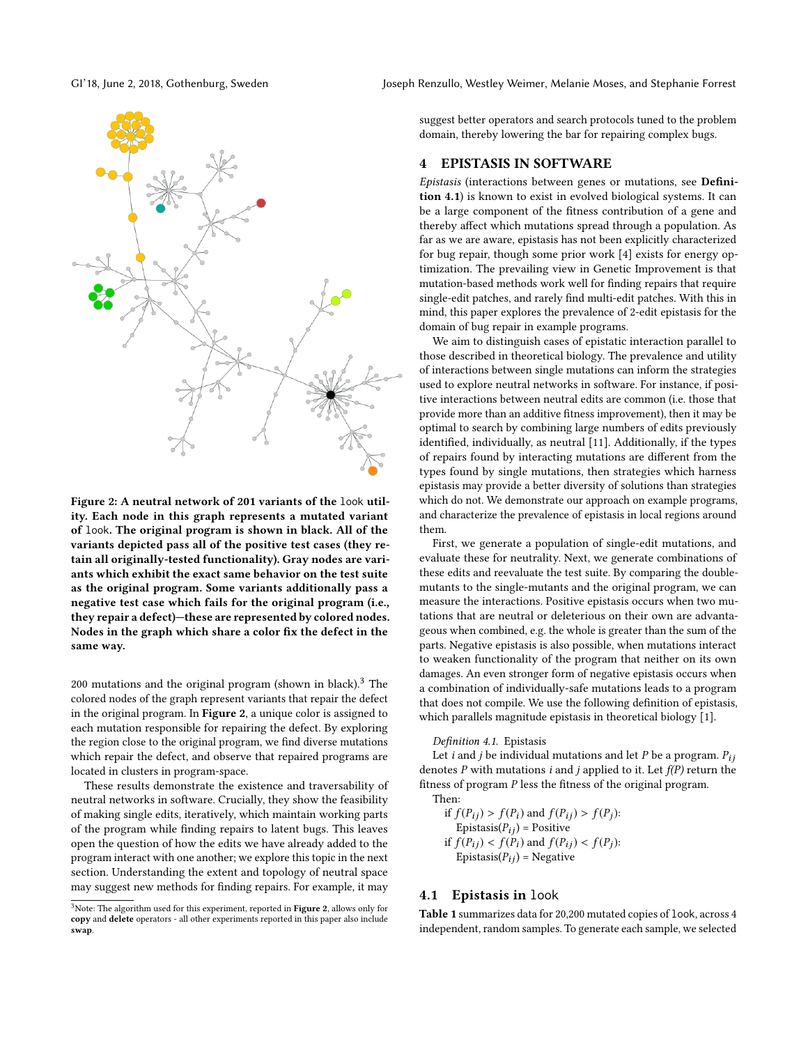<span id="page-3-1"></span>

Figure 2: A neutral network of 201 variants of the look utility. Each node in this graph represents a mutated variant of look. The original program is shown in black. All of the variants depicted pass all of the positive test cases (they retain all originally-tested functionality). Gray nodes are variants which exhibit the exact same behavior on the test suite as the original program. Some variants additionally pass a negative test case which fails for the original program (i.e., they repair a defect)—these are represented by colored nodes. Nodes in the graph which share a color fix the defect in the same way.

200 mutations and the original program (shown in black). $3$  The colored nodes of the graph represent variants that repair the defect in the original program. In Figure [2](#page-3-1), a unique color is assigned to each mutation responsible for repairing the defect. By exploring the region close to the original program, we find diverse mutations which repair the defect, and observe that repaired programs are located in clusters in program-space.

These results demonstrate the existence and traversability of neutral networks in software. Crucially, they show the feasibility of making single edits, iteratively, which maintain working parts of the program while finding repairs to latent bugs. This leaves open the question of how the edits we have already added to the program interact with one another; we explore this topic in the next section. Understanding the extent and topology of neutral space may suggest new methods for finding repairs. For example, it may

GI'18, June 2, 2018, Gothenburg, Sweden Joseph Renzullo, Westley Weimer, Melanie Moses, and Stephanie Forrest

suggest better operators and search protocols tuned to the problem domain, thereby lowering the bar for repairing complex bugs.

## <span id="page-3-0"></span>4 EPISTASIS IN SOFTWARE

Epistasis (interactions between genes or mutations, see Definition 4.1) is known to exist in evolved biological systems. It can be a large component of the fitness contribution of a gene and thereby affect which mutations spread through a population. As far as we are aware, epistasis has not been explicitly characterized for bug repair, though some prior work [\[4\]](#page-7-26) exists for energy optimization. The prevailing view in Genetic Improvement is that mutation-based methods work well for finding repairs that require single-edit patches, and rarely find multi-edit patches. With this in mind, this paper explores the prevalence of 2-edit epistasis for the domain of bug repair in example programs.

We aim to distinguish cases of epistatic interaction parallel to those described in theoretical biology. The prevalence and utility of interactions between single mutations can inform the strategies used to explore neutral networks in software. For instance, if positive interactions between neutral edits are common (i.e. those that provide more than an additive fitness improvement), then it may be optimal to search by combining large numbers of edits previously identified, individually, as neutral [\[11\]](#page-7-27). Additionally, if the types of repairs found by interacting mutations are different from the types found by single mutations, then strategies which harness epistasis may provide a better diversity of solutions than strategies which do not. We demonstrate our approach on example programs, and characterize the prevalence of epistasis in local regions around them.

First, we generate a population of single-edit mutations, and evaluate these for neutrality. Next, we generate combinations of these edits and reevaluate the test suite. By comparing the doublemutants to the single-mutants and the original program, we can measure the interactions. Positive epistasis occurs when two mutations that are neutral or deleterious on their own are advantageous when combined, e.g. the whole is greater than the sum of the parts. Negative epistasis is also possible, when mutations interact to weaken functionality of the program that neither on its own damages. An even stronger form of negative epistasis occurs when a combination of individually-safe mutations leads to a program that does not compile. We use the following definition of epistasis, which parallels magnitude epistasis in theoretical biology [\[1\]](#page-7-18).

#### Definition 4.1. Epistasis

Let *i* and *j* be individual mutations and let *P* be a program.  $P_{ij}$ denotes  $P$  with mutations  $i$  and  $j$  applied to it. Let  $f(P)$  return the fitness of program P less the fitness of the original program. Then:

if 
$$
f(P_{ij}) > f(P_i)
$$
 and  $f(P_{ij}) > f(P_j)$ :  
\nEpistasis $(P_{ij}) = \text{Positive}$   
\nif  $f(P_{ij}) < f(P_i)$  and  $f(P_{ij}) < f(P_j)$ :  
\nEpistasis $(P_{ij}) = \text{Negative}$ 

#### 4.1 Epistasis in look

Table [1](#page-4-0) summarizes data for 20,200 mutated copies of look, across 4 independent, random samples. To generate each sample, we selected

<span id="page-3-2"></span><sup>&</sup>lt;sup>3</sup>Note: The algorithm used for this experiment, reported in Figure [2](#page-3-1), allows only for copy and delete operators - all other experiments reported in this paper also include swap.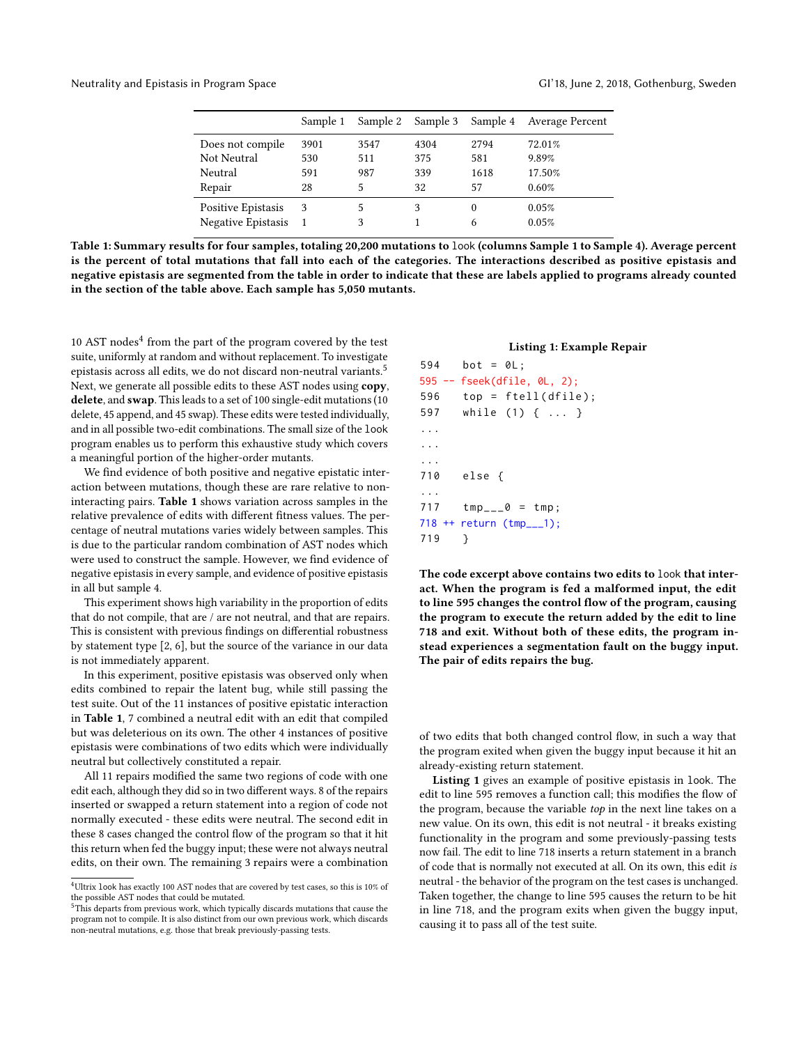<span id="page-4-0"></span>

|                    | Sample 1 |      | Sample 2 Sample 3 Sample 4 |          | <b>Average Percent</b> |
|--------------------|----------|------|----------------------------|----------|------------------------|
| Does not compile   | 3901     | 3547 | 4304                       | 2794     | 72.01%                 |
| Not Neutral        | 530      | 511  | 375                        | 581      | 9.89%                  |
| Neutral            | 591      | 987  | 339                        | 1618     | 17.50%                 |
| Repair             | 28       | 5    | 32                         | 57       | 0.60%                  |
| Positive Epistasis | 3        | 5    | 3                          | $\Omega$ | 0.05%                  |
| Negative Epistasis |          | 3    |                            | 6        | 0.05%                  |

Table 1: Summary results for four samples, totaling 20,200 mutations to look (columns Sample 1 to Sample 4). Average percent is the percent of total mutations that fall into each of the categories. The interactions described as positive epistasis and negative epistasis are segmented from the table in order to indicate that these are labels applied to programs already counted in the section of the table above. Each sample has 5,050 mutants.

10 AST nodes<sup>[4](#page-4-1)</sup> from the part of the program covered by the test suite, uniformly at random and without replacement. To investigate epistasis across all edits, we do not discard non-neutral variants.<sup>[5](#page-4-2)</sup> Next, we generate all possible edits to these AST nodes using copy, delete, and swap. This leads to a set of 100 single-edit mutations (10 delete, 45 append, and 45 swap). These edits were tested individually, and in all possible two-edit combinations. The small size of the look program enables us to perform this exhaustive study which covers a meaningful portion of the higher-order mutants.

We find evidence of both positive and negative epistatic interaction between mutations, though these are rare relative to noninteracting pairs. Table 1 shows variation across samples in the relative prevalence of edits with different fitness values. The percentage of neutral mutations varies widely between samples. This is due to the particular random combination of AST nodes which were used to construct the sample. However, we find evidence of negative epistasis in every sample, and evidence of positive epistasis in all but sample 4.

This experiment shows high variability in the proportion of edits that do not compile, that are / are not neutral, and that are repairs. This is consistent with previous findings on differential robustness by statement type [\[2,](#page-7-9) [6\]](#page-7-10), but the source of the variance in our data is not immediately apparent.

In this experiment, positive epistasis was observed only when edits combined to repair the latent bug, while still passing the test suite. Out of the 11 instances of positive epistatic interaction in Table 1, 7 combined a neutral edit with an edit that compiled but was deleterious on its own. The other 4 instances of positive epistasis were combinations of two edits which were individually neutral but collectively constituted a repair.

All 11 repairs modified the same two regions of code with one edit each, although they did so in two different ways. 8 of the repairs inserted or swapped a return statement into a region of code not normally executed - these edits were neutral. The second edit in these 8 cases changed the control flow of the program so that it hit this return when fed the buggy input; these were not always neutral edits, on their own. The remaining 3 repairs were a combination

#### Listing 1: Example Repair

```
594 bot = 0L;
595 -- fseek(dfile, 0L, 2);
596 top = ftell(dfile);
597 while (1) { ... }
...
...
...
710 else {
...
717 tmp_{---}0 = tmp;
718 ++ return (tmp___1);
719 }
```
The code excerpt above contains two edits to look that interact. When the program is fed a malformed input, the edit to line 595 changes the control flow of the program, causing the program to execute the return added by the edit to line 718 and exit. Without both of these edits, the program instead experiences a segmentation fault on the buggy input. The pair of edits repairs the bug.

of two edits that both changed control flow, in such a way that the program exited when given the buggy input because it hit an already-existing return statement.

Listing 1 gives an example of positive epistasis in look. The edit to line 595 removes a function call; this modifies the flow of the program, because the variable  $top$  in the next line takes on a new value. On its own, this edit is not neutral - it breaks existing functionality in the program and some previously-passing tests now fail. The edit to line 718 inserts a return statement in a branch of code that is normally not executed at all. On its own, this edit is neutral - the behavior of the program on the test cases is unchanged. Taken together, the change to line 595 causes the return to be hit in line 718, and the program exits when given the buggy input, causing it to pass all of the test suite.

<span id="page-4-1"></span><sup>4</sup>Ultrix look has exactly 100 AST nodes that are covered by test cases, so this is 10% of the possible AST nodes that could be mutated.

<span id="page-4-2"></span><sup>&</sup>lt;sup>5</sup>This departs from previous work, which typically discards mutations that cause the program not to compile. It is also distinct from our own previous work, which discards non-neutral mutations, e.g. those that break previously-passing tests.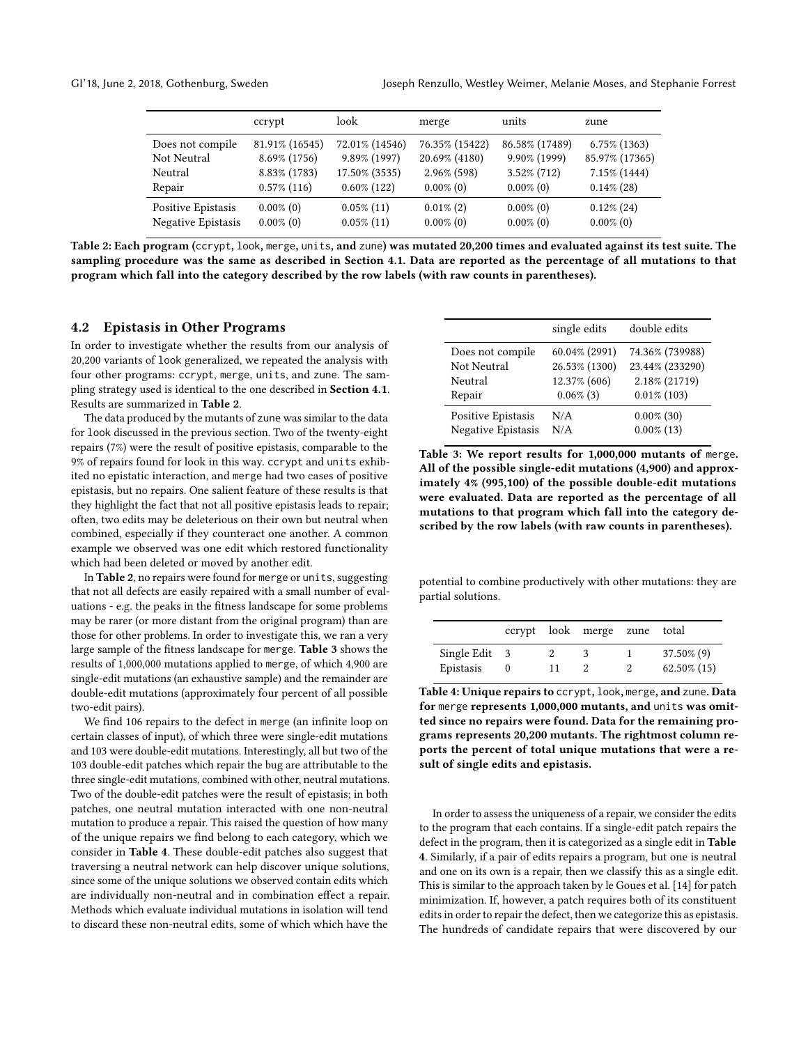GI'18, June 2, 2018, Gothenburg, Sweden Joseph Renzullo, Westley Weimer, Melanie Moses, and Stephanie Forrest

|                                          | ccrypt                       | look                           | merge                        | units                        | zune                          |
|------------------------------------------|------------------------------|--------------------------------|------------------------------|------------------------------|-------------------------------|
| Does not compile                         | 81.91% (16545)               | 72.01% (14546)                 | 76.35% (15422)               | 86.58% (17489)               | $6.75\%$ (1363)               |
| Not Neutral                              | 8.69% (1756)                 | 9.89% (1997)                   | 20.69% (4180)                | 9.90% (1999)                 | 85.97% (17365)                |
| Neutral                                  | 8.83% (1783)                 | 17.50% (3535)                  | $2.96\%$ (598)               | $3.52\%$ (712)               | 7.15% (1444)                  |
| Repair                                   | $0.57\%$ (116)               | $0.60\%$ (122)                 | $0.00\%$ (0)                 | $0.00\%$ (0)                 | $0.14\%$ (28)                 |
| Positive Epistasis<br>Negative Epistasis | $0.00\%$ (0)<br>$0.00\%$ (0) | $0.05\%$ (11)<br>$0.05\%$ (11) | $0.01\%$ (2)<br>$0.00\%$ (0) | $0.00\%$ (0)<br>$0.00\%$ (0) | $0.12\%$ (24)<br>$0.00\%$ (0) |

Table 2: Each program (ccrypt, look, merge, units, and zune) was mutated 20,200 times and evaluated against its test suite. The sampling procedure was the same as described in Section 4.1. Data are reported as the percentage of all mutations to that program which fall into the category described by the row labels (with raw counts in parentheses).

## 4.2 Epistasis in Other Programs

In order to investigate whether the results from our analysis of 20,200 variants of look generalized, we repeated the analysis with four other programs: ccrypt, merge, units, and zune. The sampling strategy used is identical to the one described in Section 4.1. Results are summarized in Table 2.

The data produced by the mutants of zune was similar to the data for look discussed in the previous section. Two of the twenty-eight repairs (7%) were the result of positive epistasis, comparable to the 9% of repairs found for look in this way. ccrypt and units exhibited no epistatic interaction, and merge had two cases of positive epistasis, but no repairs. One salient feature of these results is that they highlight the fact that not all positive epistasis leads to repair; often, two edits may be deleterious on their own but neutral when combined, especially if they counteract one another. A common example we observed was one edit which restored functionality which had been deleted or moved by another edit.

In Table 2, no repairs were found for merge or units, suggesting that not all defects are easily repaired with a small number of evaluations - e.g. the peaks in the fitness landscape for some problems may be rarer (or more distant from the original program) than are those for other problems. In order to investigate this, we ran a very large sample of the fitness landscape for merge. Table 3 shows the results of 1,000,000 mutations applied to merge, of which 4,900 are single-edit mutations (an exhaustive sample) and the remainder are double-edit mutations (approximately four percent of all possible two-edit pairs).

We find 106 repairs to the defect in merge (an infinite loop on certain classes of input), of which three were single-edit mutations and 103 were double-edit mutations. Interestingly, all but two of the 103 double-edit patches which repair the bug are attributable to the three single-edit mutations, combined with other, neutral mutations. Two of the double-edit patches were the result of epistasis; in both patches, one neutral mutation interacted with one non-neutral mutation to produce a repair. This raised the question of how many of the unique repairs we find belong to each category, which we consider in Table 4. These double-edit patches also suggest that traversing a neutral network can help discover unique solutions, since some of the unique solutions we observed contain edits which are individually non-neutral and in combination effect a repair. Methods which evaluate individual mutations in isolation will tend to discard these non-neutral edits, some of which which have the

|                    | single edits  | double edits    |
|--------------------|---------------|-----------------|
| Does not compile   | 60.04% (2991) | 74.36% (739988) |
| Not Neutral        | 26.53% (1300) | 23.44% (233290) |
| Neutral            | 12.37% (606)  | 2.18% (21719)   |
| Repair             | $0.06\%$ (3)  | $0.01\%$ (103)  |
| Positive Epistasis | N/A           | $0.00\%$ (30)   |
| Negative Epistasis | N/A           | $0.00\%$ (13)   |
|                    |               |                 |

Table 3: We report results for 1,000,000 mutants of merge. All of the possible single-edit mutations (4,900) and approximately 4% (995,100) of the possible double-edit mutations were evaluated. Data are reported as the percentage of all mutations to that program which fall into the category described by the row labels (with raw counts in parentheses).

potential to combine productively with other mutations: they are partial solutions.

|                          |     |    | ccrypt look merge zune total |                                 |
|--------------------------|-----|----|------------------------------|---------------------------------|
| Single Edit<br>Epistasis | - 3 | 11 | 3                            | $37.50\%$ (9)<br>$62.50\%$ (15) |

Table 4: Unique repairs to ccrypt, look, merge, and zune. Data for merge represents 1,000,000 mutants, and units was omitted since no repairs were found. Data for the remaining programs represents 20,200 mutants. The rightmost column reports the percent of total unique mutations that were a result of single edits and epistasis.

In order to assess the uniqueness of a repair, we consider the edits to the program that each contains. If a single-edit patch repairs the defect in the program, then it is categorized as a single edit in Table 4. Similarly, if a pair of edits repairs a program, but one is neutral and one on its own is a repair, then we classify this as a single edit. This is similar to the approach taken by le Goues et al. [\[14\]](#page-7-1) for patch minimization. If, however, a patch requires both of its constituent edits in order to repair the defect, then we categorize this as epistasis. The hundreds of candidate repairs that were discovered by our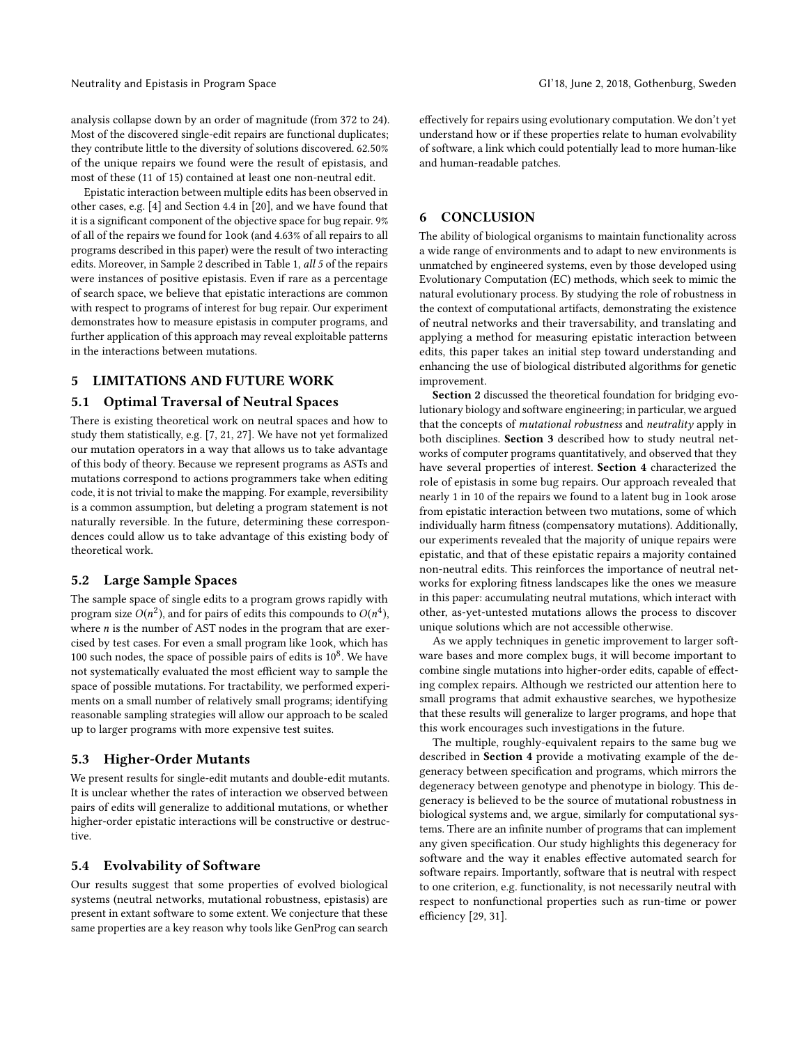Neutrality and Epistasis in Program Space GI'18, June 2, 2018, Gothenburg, Sweden

analysis collapse down by an order of magnitude (from 372 to 24). Most of the discovered single-edit repairs are functional duplicates; they contribute little to the diversity of solutions discovered. 62.50% of the unique repairs we found were the result of epistasis, and most of these (11 of 15) contained at least one non-neutral edit.

Epistatic interaction between multiple edits has been observed in other cases, e.g. [\[4\]](#page-7-26) and Section 4.4 in [\[20\]](#page-7-28), and we have found that it is a significant component of the objective space for bug repair. 9% of all of the repairs we found for look (and 4.63% of all repairs to all programs described in this paper) were the result of two interacting edits. Moreover, in Sample 2 described in Table 1, all 5 of the repairs were instances of positive epistasis. Even if rare as a percentage of search space, we believe that epistatic interactions are common with respect to programs of interest for bug repair. Our experiment demonstrates how to measure epistasis in computer programs, and further application of this approach may reveal exploitable patterns in the interactions between mutations.

## 5 LIMITATIONS AND FUTURE WORK

## 5.1 Optimal Traversal of Neutral Spaces

There is existing theoretical work on neutral spaces and how to study them statistically, e.g. [\[7,](#page-7-29) [21,](#page-7-30) [27\]](#page-7-31). We have not yet formalized our mutation operators in a way that allows us to take advantage of this body of theory. Because we represent programs as ASTs and mutations correspond to actions programmers take when editing code, it is not trivial to make the mapping. For example, reversibility is a common assumption, but deleting a program statement is not naturally reversible. In the future, determining these correspondences could allow us to take advantage of this existing body of theoretical work.

## 5.2 Large Sample Spaces

The sample space of single edits to a program grows rapidly with program size  $O(n^2)$ , and for pairs of edits this compounds to  $O(n^4)$ , where  $n$  is the number of AST nodes in the program that are exercised by test cases. For even a small program like look, which has 100 such nodes, the space of possible pairs of edits is  $10^8$ . We have not systematically evaluated the most efficient way to sample the space of possible mutations. For tractability, we performed experiments on a small number of relatively small programs; identifying reasonable sampling strategies will allow our approach to be scaled up to larger programs with more expensive test suites.

#### 5.3 Higher-Order Mutants

We present results for single-edit mutants and double-edit mutants. It is unclear whether the rates of interaction we observed between pairs of edits will generalize to additional mutations, or whether higher-order epistatic interactions will be constructive or destructive.

#### 5.4 Evolvability of Software

Our results suggest that some properties of evolved biological systems (neutral networks, mutational robustness, epistasis) are present in extant software to some extent. We conjecture that these same properties are a key reason why tools like GenProg can search effectively for repairs using evolutionary computation. We don't yet understand how or if these properties relate to human evolvability of software, a link which could potentially lead to more human-like and human-readable patches.

# 6 CONCLUSION

The ability of biological organisms to maintain functionality across a wide range of environments and to adapt to new environments is unmatched by engineered systems, even by those developed using Evolutionary Computation (EC) methods, which seek to mimic the natural evolutionary process. By studying the role of robustness in the context of computational artifacts, demonstrating the existence of neutral networks and their traversability, and translating and applying a method for measuring epistatic interaction between edits, this paper takes an initial step toward understanding and enhancing the use of biological distributed algorithms for genetic improvement.

Section 2 discussed the theoretical foundation for bridging evolutionary biology and software engineering; in particular, we argued that the concepts of mutational robustness and neutrality apply in both disciplines. Section 3 described how to study neutral networks of computer programs quantitatively, and observed that they have several properties of interest. Section 4 characterized the role of epistasis in some bug repairs. Our approach revealed that nearly 1 in 10 of the repairs we found to a latent bug in look arose from epistatic interaction between two mutations, some of which individually harm fitness (compensatory mutations). Additionally, our experiments revealed that the majority of unique repairs were epistatic, and that of these epistatic repairs a majority contained non-neutral edits. This reinforces the importance of neutral networks for exploring fitness landscapes like the ones we measure in this paper: accumulating neutral mutations, which interact with other, as-yet-untested mutations allows the process to discover unique solutions which are not accessible otherwise.

As we apply techniques in genetic improvement to larger software bases and more complex bugs, it will become important to combine single mutations into higher-order edits, capable of effecting complex repairs. Although we restricted our attention here to small programs that admit exhaustive searches, we hypothesize that these results will generalize to larger programs, and hope that this work encourages such investigations in the future.

The multiple, roughly-equivalent repairs to the same bug we described in Section 4 provide a motivating example of the degeneracy between specification and programs, which mirrors the degeneracy between genotype and phenotype in biology. This degeneracy is believed to be the source of mutational robustness in biological systems and, we argue, similarly for computational systems. There are an infinite number of programs that can implement any given specification. Our study highlights this degeneracy for software and the way it enables effective automated search for software repairs. Importantly, software that is neutral with respect to one criterion, e.g. functionality, is not necessarily neutral with respect to nonfunctional properties such as run-time or power efficiency [\[29,](#page-7-32) [31\]](#page-7-33).